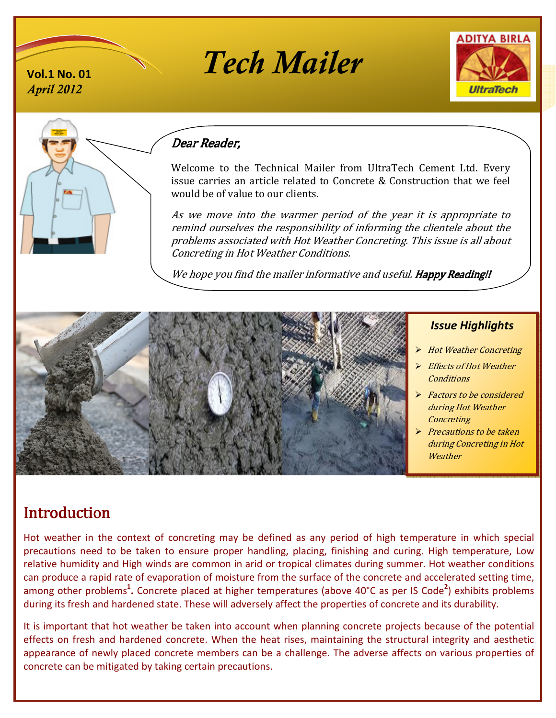





*April 2012* 

## Dear Reader,

Welcome to the Technical Mailer from UltraTech Cement Ltd. Every issue carries an article related to Concrete & Construction that we feel would be of value to our clients.

As we move into the warmer period of the year it is appropriate to remind ourselves the responsibility of informing the clientele about the problems associated with Hot Weather Concreting. This issue is all about Concreting in Hot Weather Conditions.

We hope you find the mailer informative and useful. Happy Reading!!



## *Issue Highlights*

ֺֺ

- Hot Weather Concreting
- $\triangleright$  Effects of Hot Weather **Conditions**
- $\triangleright$  Factors to be considered during Hot Weather **Concreting**
- $\triangleright$  Precautions to be taken<br>during Concreting in Ho during Concreting in Hot **Weather**

# **Introduction**

Hot weather in the context of concreting may be defined as any period of high temperature in which special precautions need to be taken to ensure proper handling, placing, finishing and curing. High temperature, Low relative humidity and High winds are common in arid or tropical climates during summer. Hot weather conditions can produce a rapid rate of evaporation of moisture from the surface of the concrete and accelerated setting time, among other problems<sup>1</sup>. Concrete placed at higher temperatures (above 40°C as per IS Code<sup>2</sup>) exhibits problems during its fresh and hardened state. These will adversely affect the properties of concrete and its durability.

It is important that hot weather be taken into account when planning concrete projects because of the potential effects on fresh and hardened concrete. When the heat rises, maintaining the structural integrity and aesthetic appearance of newly placed concrete members can be a challenge. The adverse affects on various properties of concrete can be mitigated by taking certain precautions.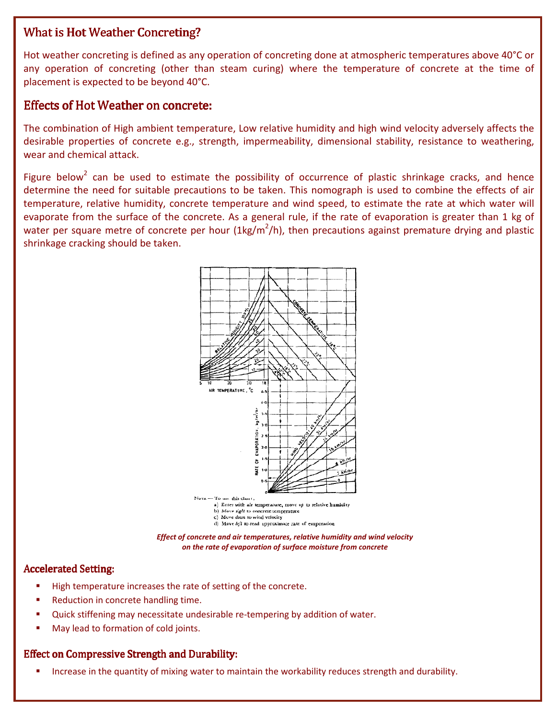## What is Hot Weather Concreting?

Hot weather concreting is defined as any operation of concreting done at atmospheric temperatures above 40°C or any operation of concreting (other than steam curing) where the temperature of concrete at the time of placement is expected to be beyond 40°C.

## Effects of Hot Weather on concrete:

The combination of High ambient temperature, Low relative humidity and high wind velocity adversely affects the desirable properties of concrete e.g., strength, impermeability, dimensional stability, resistance to weathering, wear and chemical attack.

Figure below<sup>2</sup> can be used to estimate the possibility of occurrence of plastic shrinkage cracks, and hence determine the need for suitable precautions to be taken. This nomograph is used to combine the effects of air temperature, relative humidity, concrete temperature and wind speed, to estimate the rate at which water will evaporate from the surface of the concrete. As a general rule, if the rate of evaporation is greater than 1 kg of water per square metre of concrete per hour (1kg/m<sup>2</sup>/h), then precautions against premature drying and plastic shrinkage cracking should be taken.



*Effect of concrete and air temperatures, relative humidity and wind velocity on the rate of evaporation of surface moisture from concrete* 

#### Accelerated Setting:

- -High temperature increases the rate of setting of the concrete.
- -Reduction in concrete handling time.
- -Quick stiffening may necessitate undesirable re-tempering by addition of water.
- -May lead to formation of cold joints.

## Effect on Compressive Strength and Durability:

-Increase in the quantity of mixing water to maintain the workability reduces strength and durability.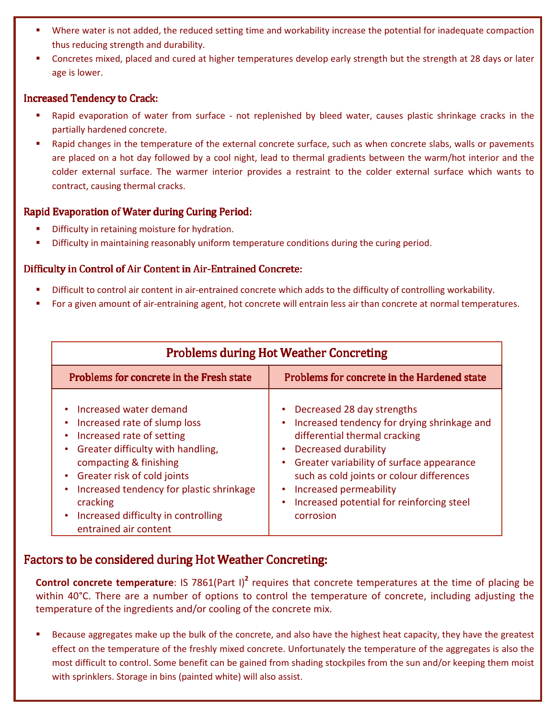- - Where water is not added, the reduced setting time and workability increase the potential for inadequate compaction thus reducing strength and durability.
- - Concretes mixed, placed and cured at higher temperatures develop early strength but the strength at 28 days or later age is lower.

#### Increased Tendency to Crack:

- - Rapid evaporation of water from surface - not replenished by bleed water, causes plastic shrinkage cracks in the partially hardened concrete.
- Rapid changes in the temperature of the external concrete surface, such as when concrete slabs, walls or pavements are placed on a hot day followed by a cool night, lead to thermal gradients between the warm/hot interior and the colder external surface. The warmer interior provides a restraint to the colder external surface which wants to contract, causing thermal cracks.

#### Rapid Evaporation of Water during Curing Period:

- -Difficulty in retaining moisture for hydration.
- -Difficulty in maintaining reasonably uniform temperature conditions during the curing period.

#### Difficulty in Control of Air Content in Air-Entrained Concrete:

- -Difficult to control air content in air-entrained concrete which adds to the difficulty of controlling workability.
- -For a given amount of air-entraining agent, hot concrete will entrain less air than concrete at normal temperatures.

| <b>Problems during Hot Weather Concreting</b>                                                                                                                                                                                                                                                                                   |                                                                                                                                                                                                                                                                                                                                                     |
|---------------------------------------------------------------------------------------------------------------------------------------------------------------------------------------------------------------------------------------------------------------------------------------------------------------------------------|-----------------------------------------------------------------------------------------------------------------------------------------------------------------------------------------------------------------------------------------------------------------------------------------------------------------------------------------------------|
| Problems for concrete in the Fresh state                                                                                                                                                                                                                                                                                        | Problems for concrete in the Hardened state                                                                                                                                                                                                                                                                                                         |
| Increased water demand<br>Increased rate of slump loss<br>Increased rate of setting<br>٠<br>Greater difficulty with handling,<br>٠<br>compacting & finishing<br>• Greater risk of cold joints<br>Increased tendency for plastic shrinkage<br>٠<br>cracking<br>Increased difficulty in controlling<br>٠<br>entrained air content | Decreased 28 day strengths<br>Increased tendency for drying shrinkage and<br>differential thermal cracking<br><b>Decreased durability</b><br>$\bullet$<br>Greater variability of surface appearance<br>٠<br>such as cold joints or colour differences<br>Increased permeability<br>٠<br>Increased potential for reinforcing steel<br>٠<br>corrosion |

## Factors to be considered during Hot Weather Concreting:

**Control concrete temperature**: IS 7861(Part I)<sup>2</sup> requires that concrete temperatures at the time of placing be within 40°C. There are a number of options to control the temperature of concrete, including adjusting the temperature of the ingredients and/or cooling of the concrete mix.

- Because aggregates make up the bulk of the concrete, and also have the highest heat capacity, they have the greatest effect on the temperature of the freshly mixed concrete. Unfortunately the temperature of the aggregates is also the most difficult to control. Some benefit can be gained from shading stockpiles from the sun and/or keeping them moist with sprinklers. Storage in bins (painted white) will also assist.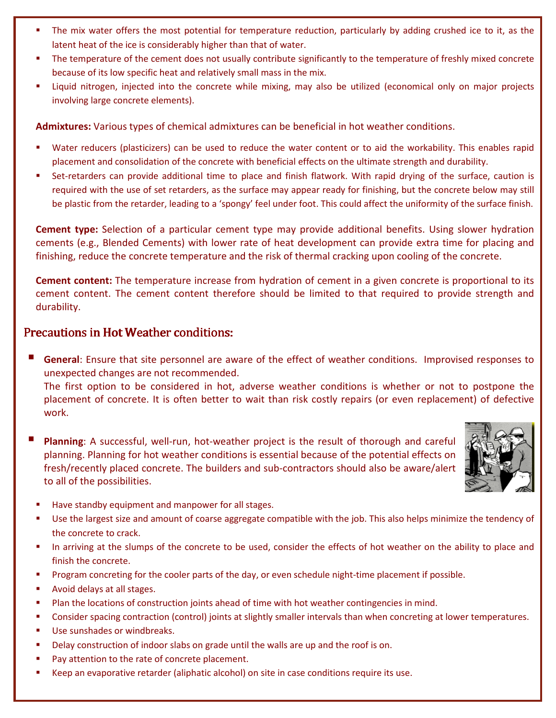- - The mix water offers the most potential for temperature reduction, particularly by adding crushed ice to it, as the latent heat of the ice is considerably higher than that of water.
- - The temperature of the cement does not usually contribute significantly to the temperature of freshly mixed concrete because of its low specific heat and relatively small mass in the mix.
- Liquid nitrogen, injected into the concrete while mixing, may also be utilized (economical only on major projects involving large concrete elements).

**Admixtures:** Various types of chemical admixtures can be beneficial in hot weather conditions.

- - Water reducers (plasticizers) can be used to reduce the water content or to aid the workability. This enables rapid placement and consolidation of the concrete with beneficial effects on the ultimate strength and durability.
- - Set-retarders can provide additional time to place and finish flatwork. With rapid drying of the surface, caution is required with the use of set retarders, as the surface may appear ready for finishing, but the concrete below may still be plastic from the retarder, leading to a 'spongy' feel under foot. This could affect the uniformity of the surface finish.

**Cement type:** Selection of a particular cement type may provide additional benefits. Using slower hydration cements (e.g., Blended Cements) with lower rate of heat development can provide extra time for placing and finishing, reduce the concrete temperature and the risk of thermal cracking upon cooling of the concrete.

**Cement content:** The temperature increase from hydration of cement in a given concrete is proportional to its cement content. The cement content therefore should be limited to that required to provide strength and durability.

## Precautions in Hot Weather conditions:

- **General**: Ensure that site personnel are aware of the effect of weather conditions. Improvised responses to unexpected changes are not recommended.

The first option to be considered in hot, adverse weather conditions is whether or not to postpone the placement of concrete. It is often better to wait than risk costly repairs (or even replacement) of defective work.

- **Planning**: A successful, well-run, hot-weather project is the result of thorough and careful planning. Planning for hot weather conditions is essential because of the potential effects on fresh/recently placed concrete. The builders and sub-contractors should also be aware/alert to all of the possibilities.



- -Have standby equipment and manpower for all stages.
- - Use the largest size and amount of coarse aggregate compatible with the job. This also helps minimize the tendency of the concrete to crack.
- - In arriving at the slumps of the concrete to be used, consider the effects of hot weather on the ability to place and finish the concrete.
- -Program concreting for the cooler parts of the day, or even schedule night-time placement if possible.
- -Avoid delays at all stages.
- -Plan the locations of construction joints ahead of time with hot weather contingencies in mind.
- -Consider spacing contraction (control) joints at slightly smaller intervals than when concreting at lower temperatures.
- -Use sunshades or windbreaks.
- -Delay construction of indoor slabs on grade until the walls are up and the roof is on.
- -Pay attention to the rate of concrete placement.
- -Keep an evaporative retarder (aliphatic alcohol) on site in case conditions require its use.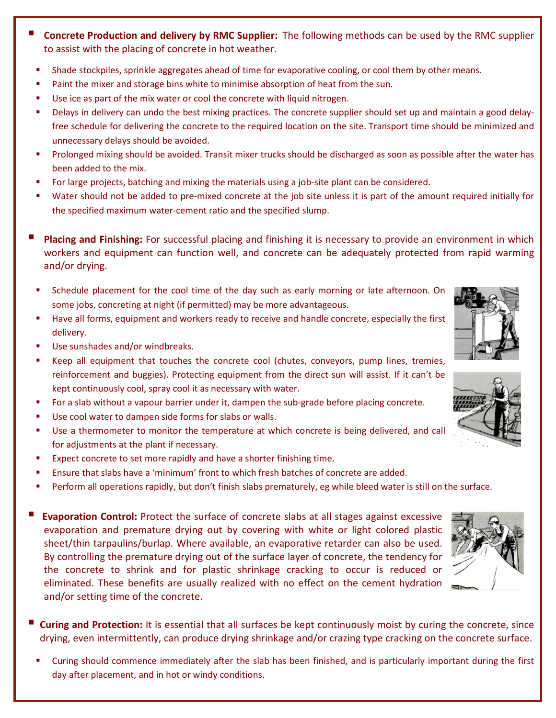- - **Concrete Production and delivery by RMC Supplier:** The following methods can be used by the RMC supplier to assist with the placing of concrete in hot weather.
	- -Shade stockpiles, sprinkle aggregates ahead of time for evaporative cooling, or cool them by other means.
	- -Paint the mixer and storage bins white to minimise absorption of heat from the sun.
	- -Use ice as part of the mix water or cool the concrete with liquid nitrogen.
	- - Delays in delivery can undo the best mixing practices. The concrete supplier should set up and maintain a good delayfree schedule for delivering the concrete to the required location on the site. Transport time should be minimized and unnecessary delays should be avoided.
	- - Prolonged mixing should be avoided. Transit mixer trucks should be discharged as soon as possible after the water has been added to the mix.
	- -For large projects, batching and mixing the materials using a job-site plant can be considered.
	- - Water should not be added to pre-mixed concrete at the job site unless it is part of the amount required initially for the specified maximum water-cement ratio and the specified slump.
- - **Placing and Finishing:** For successful placing and finishing it is necessary to provide an environment in which workers and equipment can function well, and concrete can be adequately protected from rapid warming and/or drying.
	- - Schedule placement for the cool time of the day such as early morning or late afternoon. On some jobs, concreting at night (if permitted) may be more advantageous.
	- - Have all forms, equipment and workers ready to receive and handle concrete, especially the first delivery.
	- -Use sunshades and/or windbreaks.
	- - Keep all equipment that touches the concrete cool (chutes, conveyors, pump lines, tremies, reinforcement and buggies). Protecting equipment from the direct sun will assist. If it can't be kept continuously cool, spray cool it as necessary with water.
	- -For a slab without a vapour barrier under it, dampen the sub-grade before placing concrete.
	- -Use cool water to dampen side forms for slabs or walls.
	- - Use a thermometer to monitor the temperature at which concrete is being delivered, and call for adjustments at the plant if necessary.
	- -Expect concrete to set more rapidly and have a shorter finishing time.
	- -Ensure that slabs have a 'minimum' front to which fresh batches of concrete are added.
	- -Perform all operations rapidly, but don't finish slabs prematurely, eg while bleed water is still on the surface.
- - **Evaporation Control:** Protect the surface of concrete slabs at all stages against excessive evaporation and premature drying out by covering with white or light colored plastic sheet/thin tarpaulins/burlap. Where available, an evaporative retarder can also be used. By controlling the premature drying out of the surface layer of concrete, the tendency for the concrete to shrink and for plastic shrinkage cracking to occur is reduced or eliminated. These benefits are usually realized with no effect on the cement hydration and/or setting time of the concrete.
- - **Curing and Protection:** It is essential that all surfaces be kept continuously moist by curing the concrete, since drying, even intermittently, can produce drying shrinkage and/or crazing type cracking on the concrete surface.
	- - Curing should commence immediately after the slab has been finished, and is particularly important during the first day after placement, and in hot or windy conditions.